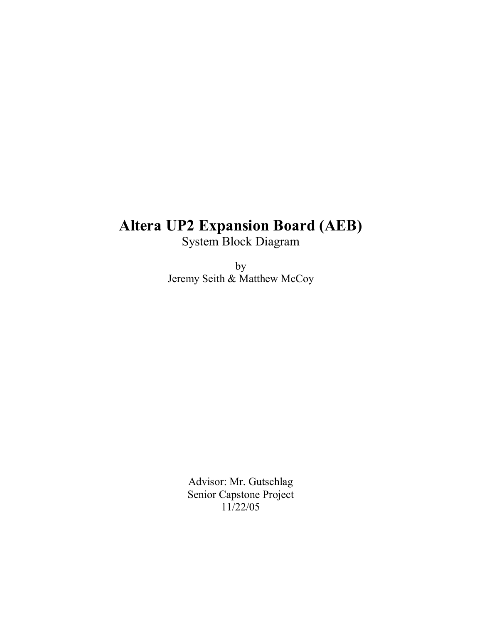# **Altera UP2 Expansion Board (AEB)**

System Block Diagram

by Jeremy Seith & Matthew McCoy

> Advisor: Mr. Gutschlag Senior Capstone Project 11/22/05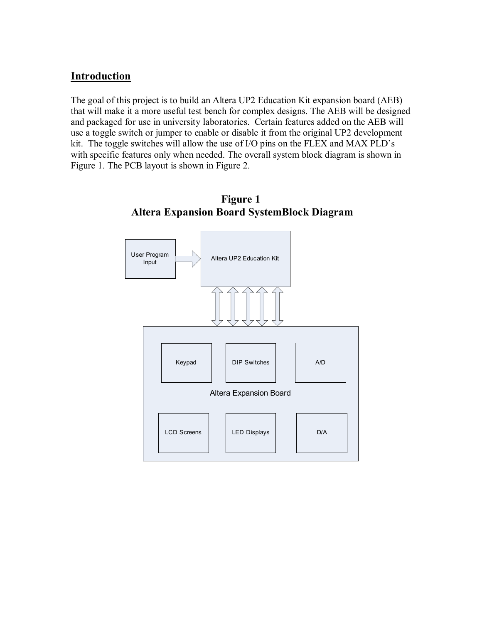#### **Introduction**

The goal of this project is to build an Altera UP2 Education Kit expansion board (AEB) that will make it a more useful test bench for complex designs. The AEB will be designed and packaged for use in university laboratories. Certain features added on the AEB will use a toggle switch or jumper to enable or disable it from the original UP2 development kit. The toggle switches will allow the use of  $I/O$  pins on the FLEX and MAX PLD's with specific features only when needed. The overall system block diagram is shown in Figure 1. The PCB layout is shown in Figure 2.



#### **Figure 1 Altera Expansion Board SystemBlock Diagram**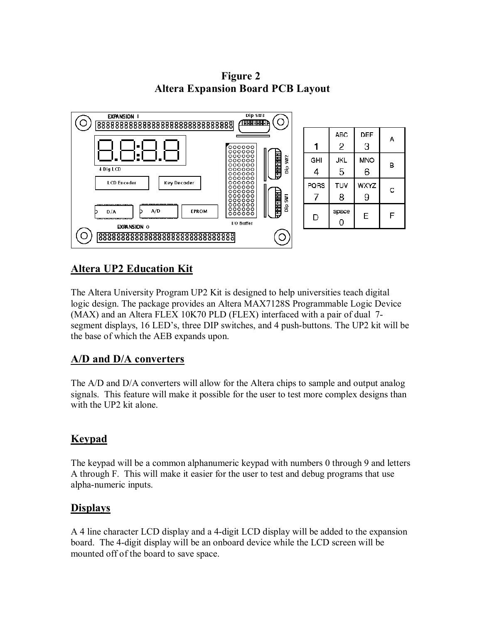**Figure 2 Altera Expansion Board PCB Layout** 



#### **Altera UP2 Education Kit**

The Altera University Program UP2 Kit is designed to help universities teach digital logic design. The package provides an Altera MAX7128S Programmable Logic Device (MAX) and an Altera FLEX 10K70 PLD (FLEX) interfaced with a pair of dual 7 segment displays, 16 LED's, three DIP switches, and 4 push-buttons. The UP2 kit will be the base of which the AEB expands upon.

#### **A/D and D/A converters**

The A/D and D/A converters will allow for the Altera chips to sample and output analog signals. This feature will make it possible for the user to test more complex designs than with the UP2 kit alone.

### **Keypad**

The keypad will be a common alphanumeric keypad with numbers 0 through 9 and letters A through F. This will make it easier for the user to test and debug programs that use alpha-numeric inputs.

#### **Displays**

A 4 line character LCD display and a 4-digit LCD display will be added to the expansion board. The 4-digit display will be an onboard device while the LCD screen will be mounted off of the board to save space.